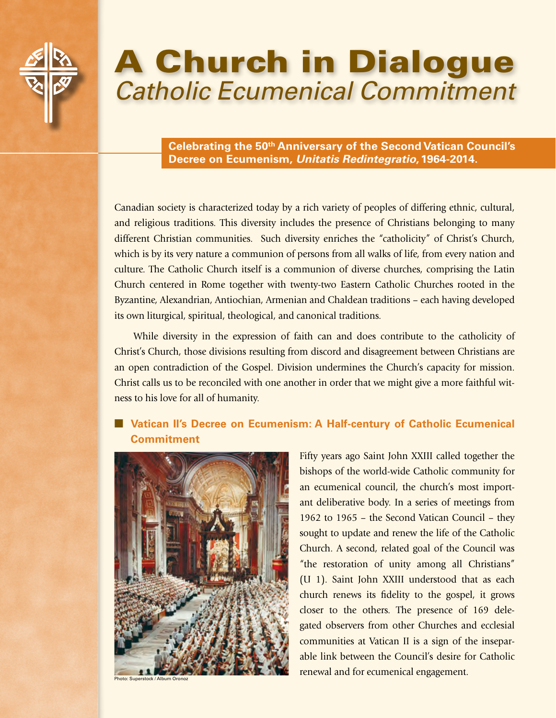

# A Church in Dialogue *Catholic Ecumenical Commitment*

**Celebrating the 50th Anniversary of the Second Vatican Council's Decree on Ecumenism,** *Unitatis Redintegratio***, 1964-2014.**

Canadian society is characterized today by a rich variety of peoples of differing ethnic, cultural, and religious traditions. This diversity includes the presence of Christians belonging to many different Christian communities. Such diversity enriches the "catholicity" of Christ's Church, which is by its very nature a communion of persons from all walks of life, from every nation and culture. The Catholic Church itself is a communion of diverse churches, comprising the Latin Church centered in Rome together with twenty-two Eastern Catholic Churches rooted in the Byzantine, Alexandrian, Antiochian, Armenian and Chaldean traditions – each having developed its own liturgical, spiritual, theological, and canonical traditions.

While diversity in the expression of faith can and does contribute to the catholicity of Christ's Church, those divisions resulting from discord and disagreement between Christians are an open contradiction of the Gospel. Division undermines the Church's capacity for mission. Christ calls us to be reconciled with one another in order that we might give a more faithful witness to his love for all of humanity.

# ■ Vatican II's Decree on Ecumenism: A Half-century of Catholic Ecumenical **Commitment**



Photo: Superstock / Album Oronoz

Fifty years ago Saint John XXIII called together the bishops of the world-wide Catholic community for an ecumenical council, the church's most important deliberative body. In a series of meetings from 1962 to 1965 – the Second Vatican Council – they sought to update and renew the life of the Catholic Church. A second, related goal of the Council was "the restoration of unity among all Christians" (U 1). Saint John XXIII understood that as each church renews its fidelity to the gospel, it grows closer to the others. The presence of 169 delegated observers from other Churches and ecclesial communities at Vatican II is a sign of the inseparable link between the Council's desire for Catholic renewal and for ecumenical engagement.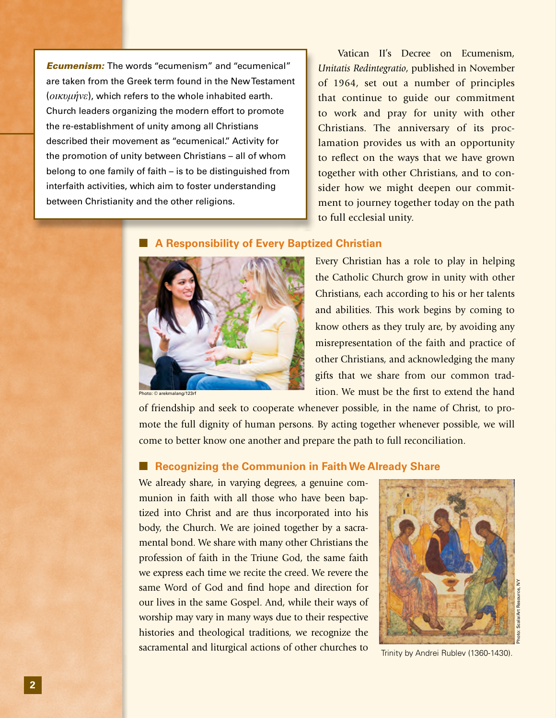*Ecumenism:* The words "ecumenism" and "ecumenical" are taken from the Greek term found in the New Testament (*οικυμήνε*), which refers to the whole inhabited earth. Church leaders organizing the modern effort to promote the re-establishment of unity among all Christians described their movement as "ecumenical." Activity for the promotion of unity between Christians – all of whom belong to one family of faith – is to be distinguished from interfaith activities, which aim to foster understanding between Christianity and the other religions.

 Vatican II's Decree on Ecumenism, *Unitatis Redintegratio*, published in November of 1964, set out a number of principles that continue to guide our commitment to work and pray for unity with other Christians. The anniversary of its proclamation provides us with an opportunity to reflect on the ways that we have grown together with other Christians, and to consider how we might deepen our commitment to journey together today on the path to full ecclesial unity.

# **A Responsibility of Every Baptized Christian**



Photo: © arekmalang/123rf

Every Christian has a role to play in helping the Catholic Church grow in unity with other Christians, each according to his or her talents and abilities. This work begins by coming to know others as they truly are, by avoiding any misrepresentation of the faith and practice of other Christians, and acknowledging the many gifts that we share from our common tradition. We must be the first to extend the hand

of friendship and seek to cooperate whenever possible, in the name of Christ, to promote the full dignity of human persons. By acting together whenever possible, we will come to better know one another and prepare the path to full reconciliation.

#### **Recognizing the Communion in Faith We Already Share**

We already share, in varying degrees, a genuine communion in faith with all those who have been baptized into Christ and are thus incorporated into his body, the Church. We are joined together by a sacramental bond. We share with many other Christians the profession of faith in the Triune God, the same faith we express each time we recite the creed. We revere the same Word of God and find hope and direction for our lives in the same Gospel. And, while their ways of worship may vary in many ways due to their respective histories and theological traditions, we recognize the sacramental and liturgical actions of other churches to



Trinity by Andrei Rublev (1360-1430).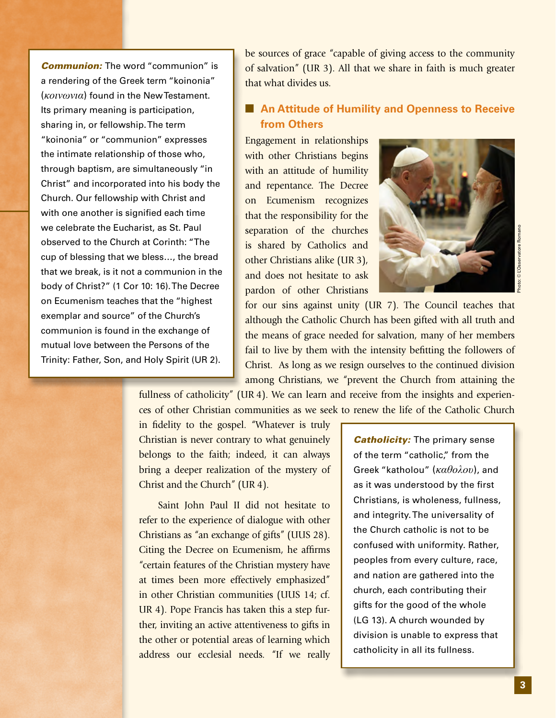*Communion:* The word "communion" is a rendering of the Greek term "koinonia" (*κοινωνια*) found in the New Testament. Its primary meaning is participation, sharing in, or fellowship. The term "koinonia" or "communion" expresses the intimate relationship of those who, through baptism, are simultaneously "in Christ" and incorporated into his body the Church. Our fellowship with Christ and with one another is signified each time we celebrate the Eucharist, as St. Paul observed to the Church at Corinth: "The cup of blessing that we bless…, the bread that we break, is it not a communion in the body of Christ?" (1 Cor 10: 16). The Decree on Ecumenism teaches that the "highest exemplar and source" of the Church's communion is found in the exchange of mutual love between the Persons of the Trinity: Father, Son, and Holy Spirit (UR 2).

be sources of grace "capable of giving access to the community of salvation" (UR 3). All that we share in faith is much greater that what divides us.

# ■ An Attitude of Humility and Openness to Receive **from Others**

Engagement in relationships with other Christians begins with an attitude of humility and repentance. The Decree on Ecumenism recognizes that the responsibility for the separation of the churches is shared by Catholics and other Christians alike (UR 3), and does not hesitate to ask pardon of other Christians



Photo: © L'Osservatore Romano

for our sins against unity (UR 7). The Council teaches that although the Catholic Church has been gifted with all truth and the means of grace needed for salvation, many of her members fail to live by them with the intensity befitting the followers of Christ. As long as we resign ourselves to the continued division among Christians, we "prevent the Church from attaining the

fullness of catholicity" (UR 4). We can learn and receive from the insights and experiences of other Christian communities as we seek to renew the life of the Catholic Church

in fidelity to the gospel. "Whatever is truly Christian is never contrary to what genuinely belongs to the faith; indeed, it can always bring a deeper realization of the mystery of Christ and the Church" (UR 4).

 Saint John Paul II did not hesitate to refer to the experience of dialogue with other Christians as "an exchange of gifts" (UUS 28). Citing the Decree on Ecumenism, he affirms "certain features of the Christian mystery have at times been more effectively emphasized" in other Christian communities (UUS 14; cf. UR 4). Pope Francis has taken this a step further, inviting an active attentiveness to gifts in the other or potential areas of learning which address our ecclesial needs. "If we really *Catholicity:* The primary sense of the term "catholic," from the Greek "katholou" (*καθολου*), and as it was understood by the first Christians, is wholeness, fullness, and integrity. The universality of the Church catholic is not to be confused with uniformity. Rather, peoples from every culture, race, and nation are gathered into the church, each contributing their gifts for the good of the whole (LG 13). A church wounded by division is unable to express that catholicity in all its fullness.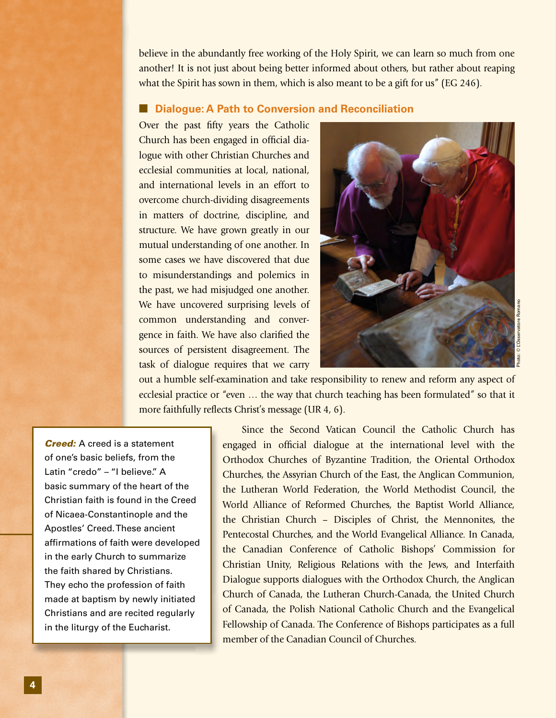believe in the abundantly free working of the Holy Spirit, we can learn so much from one another! It is not just about being better informed about others, but rather about reaping what the Spirit has sown in them, which is also meant to be a gift for us" (EG 246).

## ■ **Dialogue: A Path to Conversion and Reconciliation**

Over the past fifty years the Catholic Church has been engaged in official dialogue with other Christian Churches and ecclesial communities at local, national, and international levels in an effort to overcome church-dividing disagreements in matters of doctrine, discipline, and structure. We have grown greatly in our mutual understanding of one another. In some cases we have discovered that due to misunderstandings and polemics in the past, we had misjudged one another. We have uncovered surprising levels of common understanding and convergence in faith. We have also clarified the sources of persistent disagreement. The task of dialogue requires that we carry



out a humble self-examination and take responsibility to renew and reform any aspect of ecclesial practice or "even … the way that church teaching has been formulated" so that it more faithfully reflects Christ's message (UR 4, 6).

*Creed:* A creed is a statement of one's basic beliefs, from the Latin "credo" – "I believe." A basic summary of the heart of the Christian faith is found in the Creed of Nicaea-Constantinople and the Apostles' Creed. These ancient affirmations of faith were developed in the early Church to summarize the faith shared by Christians. They echo the profession of faith made at baptism by newly initiated Christians and are recited regularly in the liturgy of the Eucharist.

 Since the Second Vatican Council the Catholic Church has engaged in official dialogue at the international level with the Orthodox Churches of Byzantine Tradition, the Oriental Orthodox Churches, the Assyrian Church of the East, the Anglican Communion, the Lutheran World Federation, the World Methodist Council, the World Alliance of Reformed Churches, the Baptist World Alliance, the Christian Church – Disciples of Christ, the Mennonites, the Pentecostal Churches, and the World Evangelical Alliance. In Canada, the Canadian Conference of Catholic Bishops' Commission for Christian Unity, Religious Relations with the Jews, and Interfaith Dialogue supports dialogues with the Orthodox Church, the Anglican Church of Canada, the Lutheran Church-Canada, the United Church of Canada, the Polish National Catholic Church and the Evangelical Fellowship of Canada. The Conference of Bishops participates as a full member of the Canadian Council of Churches.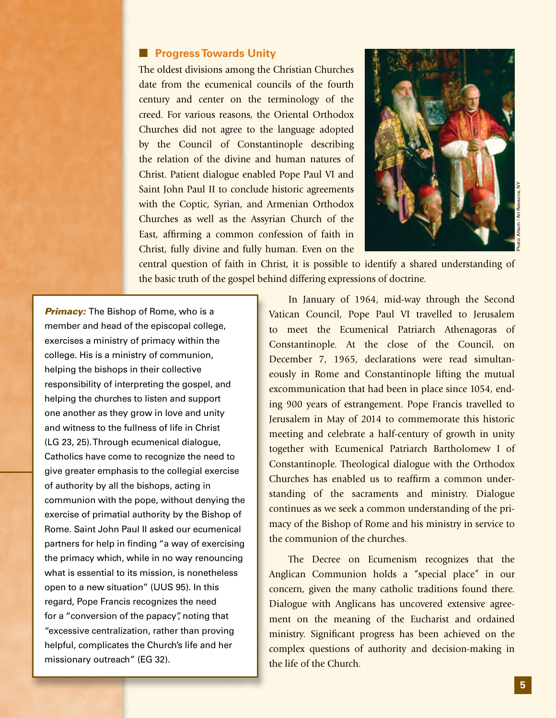#### ■ **Progress Towards Unity**

The oldest divisions among the Christian Churches date from the ecumenical councils of the fourth century and center on the terminology of the creed. For various reasons, the Oriental Orthodox Churches did not agree to the language adopted by the Council of Constantinople describing the relation of the divine and human natures of Christ. Patient dialogue enabled Pope Paul VI and Saint John Paul II to conclude historic agreements with the Coptic, Syrian, and Armenian Orthodox Churches as well as the Assyrian Church of the East, affirming a common confession of faith in Christ, fully divine and fully human. Even on the



central question of faith in Christ, it is possible to identify a shared understanding of the basic truth of the gospel behind differing expressions of doctrine.

**Primacy:** The Bishop of Rome, who is a member and head of the episcopal college, exercises a ministry of primacy within the college. His is a ministry of communion, helping the bishops in their collective responsibility of interpreting the gospel, and helping the churches to listen and support one another as they grow in love and unity and witness to the fullness of life in Christ (LG 23, 25). Through ecumenical dialogue, Catholics have come to recognize the need to give greater emphasis to the collegial exercise of authority by all the bishops, acting in communion with the pope, without denying the exercise of primatial authority by the Bishop of Rome. Saint John Paul II asked our ecumenical partners for help in finding "a way of exercising the primacy which, while in no way renouncing what is essential to its mission, is nonetheless open to a new situation" (UUS 95). In this regard, Pope Francis recognizes the need for a "conversion of the papacy", noting that "excessive centralization, rather than proving helpful, complicates the Church's life and her missionary outreach" (EG 32).

 In January of 1964, mid-way through the Second Vatican Council, Pope Paul VI travelled to Jerusalem to meet the Ecumenical Patriarch Athenagoras of Constantinople. At the close of the Council, on December 7, 1965, declarations were read simultaneously in Rome and Constantinople lifting the mutual excommunication that had been in place since 1054, ending 900 years of estrangement. Pope Francis travelled to Jerusalem in May of 2014 to commemorate this historic meeting and celebrate a half-century of growth in unity together with Ecumenical Patriarch Bartholomew I of Constantinople. Theological dialogue with the Orthodox Churches has enabled us to reaffirm a common understanding of the sacraments and ministry. Dialogue continues as we seek a common understanding of the primacy of the Bishop of Rome and his ministry in service to the communion of the churches.

 The Decree on Ecumenism recognizes that the Anglican Communion holds a "special place" in our concern, given the many catholic traditions found there. Dialogue with Anglicans has uncovered extensive agreement on the meaning of the Eucharist and ordained ministry. Significant progress has been achieved on the complex questions of authority and decision-making in the life of the Church.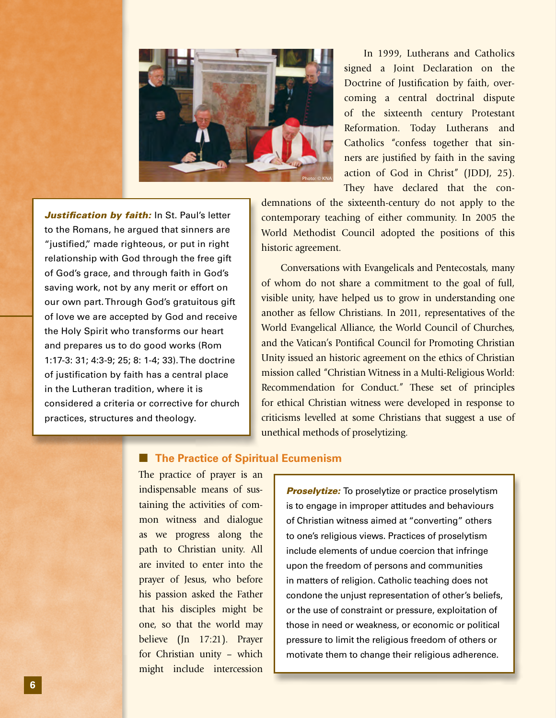

 In 1999, Lutherans and Catholics signed a Joint Declaration on the Doctrine of Justification by faith, overcoming a central doctrinal dispute of the sixteenth century Protestant Reformation. Today Lutherans and Catholics "confess together that sinners are justified by faith in the saving action of God in Christ" (JDDJ, 25). They have declared that the con-

*Justification by faith: In St. Paul's letter* to the Romans, he argued that sinners are "justified," made righteous, or put in right relationship with God through the free gift of God's grace, and through faith in God's saving work, not by any merit or effort on our own part. Through God's gratuitous gift of love we are accepted by God and receive the Holy Spirit who transforms our heart and prepares us to do good works (Rom 1:17-3: 31; 4:3-9; 25; 8: 1-4; 33). The doctrine of justification by faith has a central place in the Lutheran tradition, where it is considered a criteria or corrective for church practices, structures and theology.

demnations of the sixteenth-century do not apply to the contemporary teaching of either community. In 2005 the World Methodist Council adopted the positions of this historic agreement.

 Conversations with Evangelicals and Pentecostals, many of whom do not share a commitment to the goal of full, visible unity, have helped us to grow in understanding one another as fellow Christians. In 2011, representatives of the World Evangelical Alliance, the World Council of Churches, and the Vatican's Pontifical Council for Promoting Christian Unity issued an historic agreement on the ethics of Christian mission called "Christian Witness in a Multi-Religious World: Recommendation for Conduct." These set of principles for ethical Christian witness were developed in response to criticisms levelled at some Christians that suggest a use of unethical methods of proselytizing.

## ■ **The Practice of Spiritual Ecumenism**

The practice of prayer is an indispensable means of sustaining the activities of common witness and dialogue as we progress along the path to Christian unity. All are invited to enter into the prayer of Jesus, who before his passion asked the Father that his disciples might be one, so that the world may believe (Jn 17:21). Prayer for Christian unity – which might include intercession

**Proselytize:** To proselytize or practice proselytism is to engage in improper attitudes and behaviours of Christian witness aimed at "converting" others to one's religious views. Practices of proselytism include elements of undue coercion that infringe upon the freedom of persons and communities in matters of religion. Catholic teaching does not condone the unjust representation of other's beliefs, or the use of constraint or pressure, exploitation of those in need or weakness, or economic or political pressure to limit the religious freedom of others or motivate them to change their religious adherence.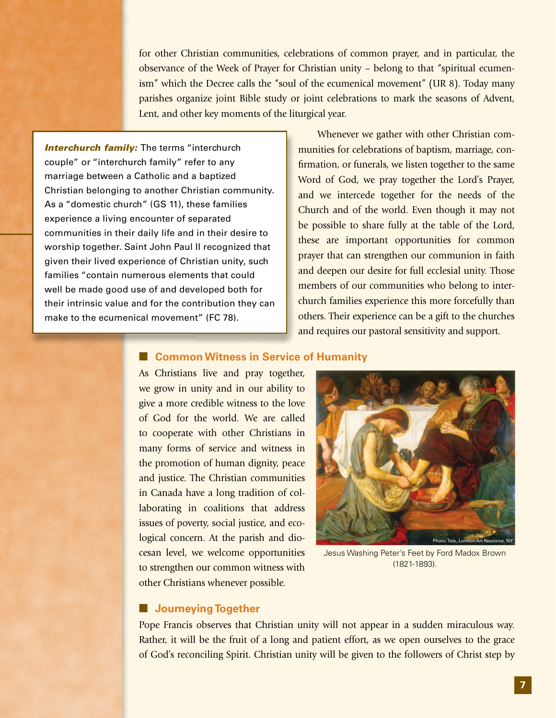for other Christian communities, celebrations of common prayer, and in particular, the observance of the Week of Prayer for Christian unity – belong to that "spiritual ecumenism" which the Decree calls the "soul of the ecumenical movement" (UR 8). Today many parishes organize joint Bible study or joint celebrations to mark the seasons of Advent, Lent, and other key moments of the liturgical year.

**Interchurch family:** The terms "interchurch" couple" or "interchurch family" refer to any marriage between a Catholic and a baptized Christian belonging to another Christian community. As a "domestic church" (GS 11), these families experience a living encounter of separated communities in their daily life and in their desire to worship together. Saint John Paul II recognized that given their lived experience of Christian unity, such families "contain numerous elements that could well be made good use of and developed both for their intrinsic value and for the contribution they can make to the ecumenical movement" (FC 78).

 Whenever we gather with other Christian communities for celebrations of baptism, marriage, confirmation, or funerals, we listen together to the same Word of God, we pray together the Lord's Prayer, and we intercede together for the needs of the Church and of the world. Even though it may not be possible to share fully at the table of the Lord, these are important opportunities for common prayer that can strengthen our communion in faith and deepen our desire for full ecclesial unity. Those members of our communities who belong to interchurch families experience this more forcefully than others. Their experience can be a gift to the churches and requires our pastoral sensitivity and support.

## ■ **Common Witness in Service of Humanity**

As Christians live and pray together, we grow in unity and in our ability to give a more credible witness to the love of God for the world. We are called to cooperate with other Christians in many forms of service and witness in the promotion of human dignity, peace and justice. The Christian communities in Canada have a long tradition of collaborating in coalitions that address issues of poverty, social justice, and ecological concern. At the parish and diocesan level, we welcome opportunities to strengthen our common witness with other Christians whenever possible.



Jesus Washing Peter's Feet by Ford Madox Brown (1821-1893).

#### ■ **Journeying Together**

Pope Francis observes that Christian unity will not appear in a sudden miraculous way. Rather, it will be the fruit of a long and patient effort, as we open ourselves to the grace of God's reconciling Spirit. Christian unity will be given to the followers of Christ step by